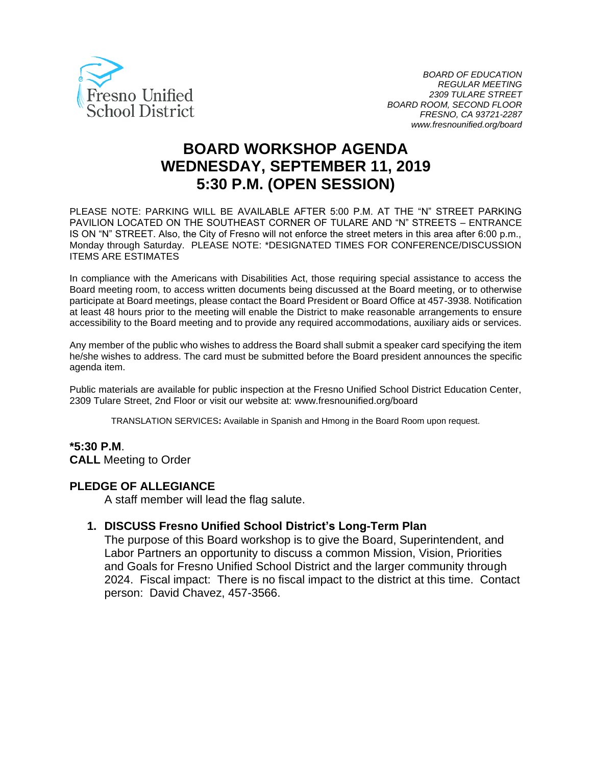

# **BOARD WORKSHOP AGENDA WEDNESDAY, SEPTEMBER 11, 2019 5:30 P.M. (OPEN SESSION)**

PLEASE NOTE: PARKING WILL BE AVAILABLE AFTER 5:00 P.M. AT THE "N" STREET PARKING PAVILION LOCATED ON THE SOUTHEAST CORNER OF TULARE AND "N" STREETS – ENTRANCE IS ON "N" STREET. Also, the City of Fresno will not enforce the street meters in this area after 6:00 p.m., Monday through Saturday. PLEASE NOTE: \*DESIGNATED TIMES FOR CONFERENCE/DISCUSSION ITEMS ARE ESTIMATES

In compliance with the Americans with Disabilities Act, those requiring special assistance to access the Board meeting room, to access written documents being discussed at the Board meeting, or to otherwise participate at Board meetings, please contact the Board President or Board Office at 457-3938. Notification at least 48 hours prior to the meeting will enable the District to make reasonable arrangements to ensure accessibility to the Board meeting and to provide any required accommodations, auxiliary aids or services.

Any member of the public who wishes to address the Board shall submit a speaker card specifying the item he/she wishes to address. The card must be submitted before the Board president announces the specific agenda item.

Public materials are available for public inspection at the Fresno Unified School District Education Center, 2309 Tulare Street, 2nd Floor or visit our website at: www.fresnounified.org/board

TRANSLATION SERVICES**:** Available in Spanish and Hmong in the Board Room upon request.

### **\*5:30 P.M**.

**CALL** Meeting to Order

#### **PLEDGE OF ALLEGIANCE**

A staff member will lead the flag salute.

#### **1. DISCUSS Fresno Unified School District's Long-Term Plan**

The purpose of this Board workshop is to give the Board, Superintendent, and Labor Partners an opportunity to discuss a common Mission, Vision, Priorities and Goals for Fresno Unified School District and the larger community through 2024. Fiscal impact: There is no fiscal impact to the district at this time. Contact person: David Chavez, 457-3566.